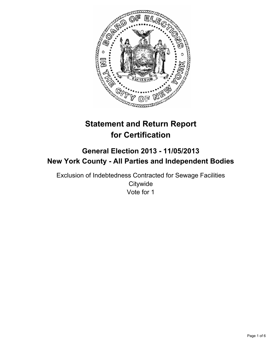

# **Statement and Return Report for Certification**

## **General Election 2013 - 11/05/2013 New York County - All Parties and Independent Bodies**

Exclusion of Indebtedness Contracted for Sewage Facilities **Citywide** Vote for 1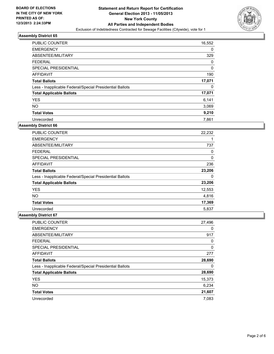

| <b>PUBLIC COUNTER</b>                                    | 16,552   |
|----------------------------------------------------------|----------|
| <b>EMERGENCY</b>                                         | 0        |
| ABSENTEE/MILITARY                                        | 329      |
| <b>FEDERAL</b>                                           | 0        |
| SPECIAL PRESIDENTIAL                                     | $\Omega$ |
| AFFIDAVIT                                                | 190      |
| <b>Total Ballots</b>                                     | 17,071   |
| Less - Inapplicable Federal/Special Presidential Ballots | 0        |
| <b>Total Applicable Ballots</b>                          | 17,071   |
| <b>YES</b>                                               | 6,141    |
| <b>NO</b>                                                | 3,069    |
| <b>Total Votes</b>                                       | 9,210    |
| Unrecorded                                               | 7,861    |

### **Assembly District 66**

| <b>PUBLIC COUNTER</b>                                    | 22,232 |
|----------------------------------------------------------|--------|
| <b>EMERGENCY</b>                                         |        |
| ABSENTEE/MILITARY                                        | 737    |
| <b>FEDERAL</b>                                           | 0      |
| <b>SPECIAL PRESIDENTIAL</b>                              | 0      |
| <b>AFFIDAVIT</b>                                         | 236    |
| <b>Total Ballots</b>                                     | 23,206 |
| Less - Inapplicable Federal/Special Presidential Ballots | 0      |
| <b>Total Applicable Ballots</b>                          | 23,206 |
| <b>YES</b>                                               | 12,553 |
| <b>NO</b>                                                | 4,816  |
| <b>Total Votes</b>                                       | 17,369 |
| Unrecorded                                               | 5,837  |

| PUBLIC COUNTER                                           | 27,496 |
|----------------------------------------------------------|--------|
| <b>EMERGENCY</b>                                         | 0      |
| ABSENTEE/MILITARY                                        | 917    |
| <b>FEDERAL</b>                                           | 0      |
| SPECIAL PRESIDENTIAL                                     | 0      |
| AFFIDAVIT                                                | 277    |
| <b>Total Ballots</b>                                     | 28,690 |
| Less - Inapplicable Federal/Special Presidential Ballots | 0      |
| <b>Total Applicable Ballots</b>                          | 28,690 |
| <b>YES</b>                                               | 15,373 |
| <b>NO</b>                                                | 6,234  |
| <b>Total Votes</b>                                       | 21,607 |
| Unrecorded                                               | 7.083  |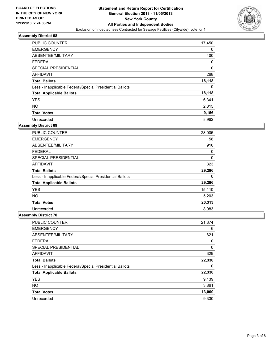

| <b>PUBLIC COUNTER</b>                                    | 17,450 |
|----------------------------------------------------------|--------|
| <b>EMERGENCY</b>                                         | 0      |
| ABSENTEE/MILITARY                                        | 400    |
| <b>FEDERAL</b>                                           | 0      |
| SPECIAL PRESIDENTIAL                                     | 0      |
| AFFIDAVIT                                                | 268    |
| <b>Total Ballots</b>                                     | 18,118 |
| Less - Inapplicable Federal/Special Presidential Ballots | 0      |
| <b>Total Applicable Ballots</b>                          | 18,118 |
| <b>YES</b>                                               | 6,341  |
| <b>NO</b>                                                | 2,815  |
| <b>Total Votes</b>                                       | 9,156  |
| Unrecorded                                               | 8,962  |

### **Assembly District 69**

| <b>PUBLIC COUNTER</b>                                    | 28,005 |
|----------------------------------------------------------|--------|
| <b>EMERGENCY</b>                                         | 58     |
| ABSENTEE/MILITARY                                        | 910    |
| <b>FEDERAL</b>                                           | 0      |
| <b>SPECIAL PRESIDENTIAL</b>                              | 0      |
| AFFIDAVIT                                                | 323    |
| <b>Total Ballots</b>                                     | 29,296 |
| Less - Inapplicable Federal/Special Presidential Ballots | 0      |
| <b>Total Applicable Ballots</b>                          | 29,296 |
| <b>YES</b>                                               | 15,110 |
| <b>NO</b>                                                | 5,203  |
| <b>Total Votes</b>                                       | 20,313 |
| Unrecorded                                               | 8,983  |

| PUBLIC COUNTER                                           | 21,374 |
|----------------------------------------------------------|--------|
| <b>EMERGENCY</b>                                         | 6      |
| ABSENTEE/MILITARY                                        | 621    |
| <b>FEDERAL</b>                                           | 0      |
| SPECIAL PRESIDENTIAL                                     | 0      |
| AFFIDAVIT                                                | 329    |
| <b>Total Ballots</b>                                     | 22,330 |
| Less - Inapplicable Federal/Special Presidential Ballots | 0      |
| <b>Total Applicable Ballots</b>                          | 22,330 |
| <b>YES</b>                                               | 9,139  |
| <b>NO</b>                                                | 3,861  |
| <b>Total Votes</b>                                       | 13,000 |
| Unrecorded                                               | 9,330  |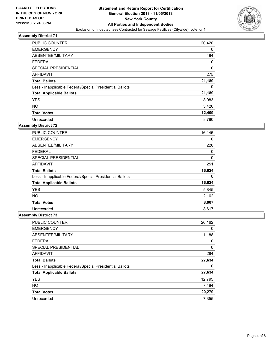

| PUBLIC COUNTER                                           | 20,420   |
|----------------------------------------------------------|----------|
| <b>EMERGENCY</b>                                         | 0        |
| ABSENTEE/MILITARY                                        | 494      |
| <b>FEDERAL</b>                                           | 0        |
| SPECIAL PRESIDENTIAL                                     | $\Omega$ |
| AFFIDAVIT                                                | 275      |
| <b>Total Ballots</b>                                     | 21,189   |
| Less - Inapplicable Federal/Special Presidential Ballots | 0        |
| <b>Total Applicable Ballots</b>                          | 21,189   |
| <b>YES</b>                                               | 8,983    |
| <b>NO</b>                                                | 3,426    |
| <b>Total Votes</b>                                       | 12,409   |
| Unrecorded                                               | 8,780    |

### **Assembly District 72**

| <b>PUBLIC COUNTER</b>                                    | 16,145 |
|----------------------------------------------------------|--------|
| <b>EMERGENCY</b>                                         | 0      |
| ABSENTEE/MILITARY                                        | 228    |
| <b>FEDERAL</b>                                           | 0      |
| SPECIAL PRESIDENTIAL                                     | 0      |
| AFFIDAVIT                                                | 251    |
| <b>Total Ballots</b>                                     | 16,624 |
| Less - Inapplicable Federal/Special Presidential Ballots | 0      |
| <b>Total Applicable Ballots</b>                          | 16,624 |
| <b>YES</b>                                               | 5,845  |
| <b>NO</b>                                                | 2,162  |
| <b>Total Votes</b>                                       | 8,007  |
| Unrecorded                                               | 8,617  |

| PUBLIC COUNTER                                           | 26,162 |
|----------------------------------------------------------|--------|
| <b>EMERGENCY</b>                                         | 0      |
| ABSENTEE/MILITARY                                        | 1,188  |
| <b>FEDERAL</b>                                           | 0      |
| SPECIAL PRESIDENTIAL                                     | 0      |
| <b>AFFIDAVIT</b>                                         | 284    |
| <b>Total Ballots</b>                                     | 27,634 |
| Less - Inapplicable Federal/Special Presidential Ballots | 0      |
| <b>Total Applicable Ballots</b>                          | 27,634 |
| <b>YES</b>                                               | 12,795 |
| <b>NO</b>                                                | 7,484  |
| <b>Total Votes</b>                                       | 20,279 |
| Unrecorded                                               | 7.355  |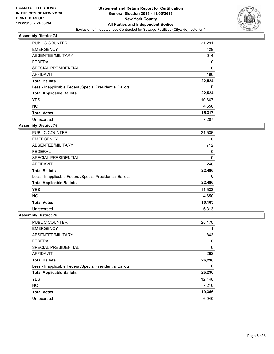

| <b>PUBLIC COUNTER</b>                                    | 21,291      |
|----------------------------------------------------------|-------------|
| <b>EMERGENCY</b>                                         | 429         |
| ABSENTEE/MILITARY                                        | 614         |
| <b>FEDERAL</b>                                           | 0           |
| SPECIAL PRESIDENTIAL                                     | $\mathbf 0$ |
| AFFIDAVIT                                                | 190         |
| <b>Total Ballots</b>                                     | 22,524      |
| Less - Inapplicable Federal/Special Presidential Ballots | 0           |
| <b>Total Applicable Ballots</b>                          | 22,524      |
| <b>YES</b>                                               | 10,667      |
| <b>NO</b>                                                | 4,650       |
| <b>Total Votes</b>                                       | 15,317      |
| Unrecorded                                               | 7,207       |

### **Assembly District 75**

| PUBLIC COUNTER                                           | 21,536 |
|----------------------------------------------------------|--------|
| <b>EMERGENCY</b>                                         | 0      |
| ABSENTEE/MILITARY                                        | 712    |
| <b>FEDERAL</b>                                           | 0      |
| <b>SPECIAL PRESIDENTIAL</b>                              | 0      |
| AFFIDAVIT                                                | 248    |
| <b>Total Ballots</b>                                     | 22,496 |
| Less - Inapplicable Federal/Special Presidential Ballots | 0      |
| <b>Total Applicable Ballots</b>                          | 22,496 |
| <b>YES</b>                                               | 11,533 |
| <b>NO</b>                                                | 4,650  |
| <b>Total Votes</b>                                       | 16,183 |
| Unrecorded                                               | 6,313  |

| PUBLIC COUNTER                                           | 25,170 |
|----------------------------------------------------------|--------|
| <b>EMERGENCY</b>                                         |        |
| ABSENTEE/MILITARY                                        | 843    |
| <b>FEDERAL</b>                                           | 0      |
| SPECIAL PRESIDENTIAL                                     | 0      |
| AFFIDAVIT                                                | 282    |
| <b>Total Ballots</b>                                     | 26,296 |
| Less - Inapplicable Federal/Special Presidential Ballots | 0      |
| <b>Total Applicable Ballots</b>                          | 26,296 |
| <b>YES</b>                                               | 12,146 |
| <b>NO</b>                                                | 7,210  |
| <b>Total Votes</b>                                       | 19,356 |
| Unrecorded                                               | 6.940  |